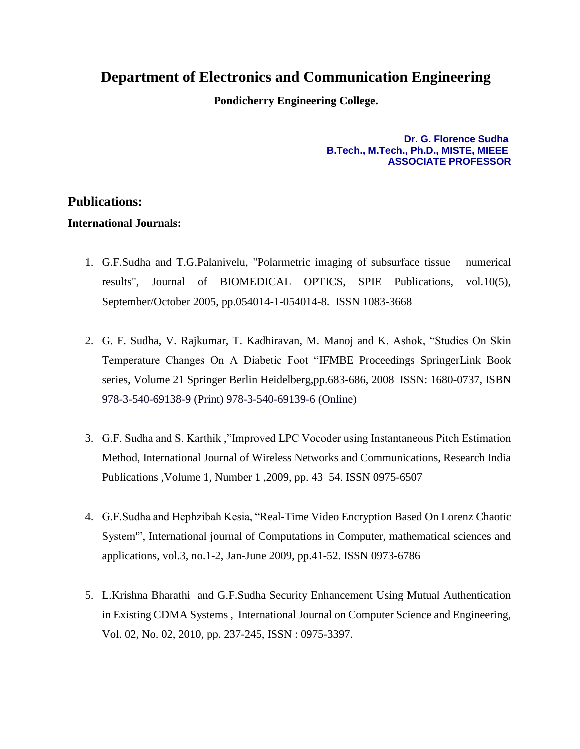## **Department of Electronics and Communication Engineering**

**Pondicherry Engineering College.**

## **Dr. G. Florence Sudha B.Tech., M.Tech., Ph.D., MISTE, MIEEE ASSOCIATE PROFESSOR**

## **Publications:**

## **International Journals:**

- 1. G.F.Sudha and T.G.Palanivelu, "Polarmetric imaging of subsurface tissue numerical results", Journal of BIOMEDICAL OPTICS, SPIE Publications, vol.10(5), September/October 2005, pp.054014-1-054014-8. ISSN 1083-3668
- 2. G. F. Sudha, V. Rajkumar, T. Kadhiravan, M. Manoj and K. Ashok, "Studies On Skin Temperature Changes On A Diabetic Foot ["IFMBE Proceedings](http://www.springerlink.com/content/nhr2v8/?p=b946322999b44f3fa9e4a3b9bc934398&pi=0) SpringerLink Book series, Volume 21 Springer Berlin Heidelberg,pp.683-686, 2008 ISSN: 1680-0737, ISBN 978-3-540-69138-9 (Print) 978-3-540-69139-6 (Online)
- 3. G.F. Sudha and S. Karthik ,"Improved LPC Vocoder using Instantaneous Pitch Estimation Method, International Journal of Wireless Networks and Communications, Research India Publications ,Volume 1, Number 1 ,2009, pp. 43–54. ISSN 0975-6507
- 4. G.F.Sudha and Hephzibah Kesia, "Real-Time Video Encryption Based On Lorenz Chaotic System'", International journal of Computations in Computer, mathematical sciences and applications, vol.3, no.1-2, Jan-June 2009, pp.41-52. ISSN 0973-6786
- 5. L.Krishna Bharathi and G.F.Sudha Security Enhancement Using Mutual Authentication in Existing CDMA Systems , International Journal on Computer Science and Engineering, Vol. 02, No. 02, 2010, pp. 237-245, ISSN : 0975-3397.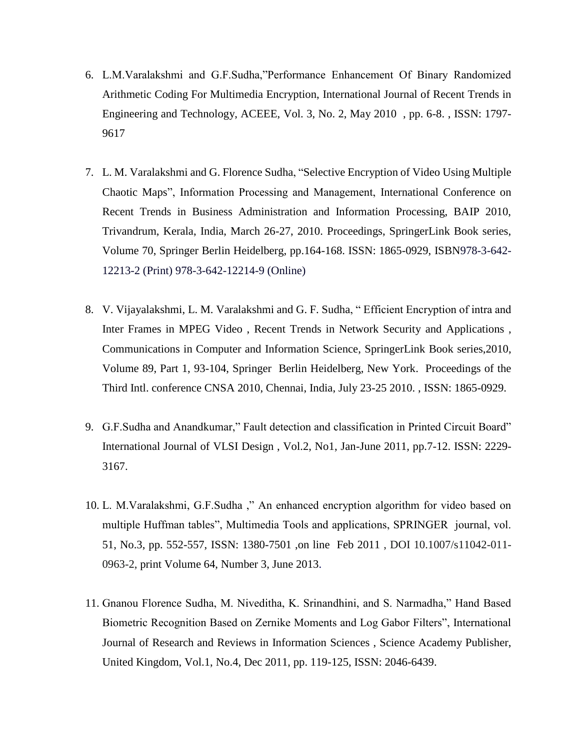- 6. L.M.Varalakshmi and G.F.Sudha,"Performance Enhancement Of Binary Randomized Arithmetic Coding For Multimedia Encryption, International Journal of Recent Trends in Engineering and Technology, ACEEE, Vol. 3, No. 2, May 2010 , pp. 6-8. , ISSN: 1797- 9617
- 7. [L. M. Varalakshmi](http://www.springerlink.com/content/?Author=L.+M.+Varalakshmi) and [G. Florence Sudha,](http://www.springerlink.com/content/?Author=G.+Florence+Sudha) ["Selective Encryption of Video Using Multiple](http://www.springerlink.com/content/p586984526327646/?p=8c5b5da1315349cfbc4674528d902238&pi=27)  [Chaotic Maps"](http://www.springerlink.com/content/p586984526327646/?p=8c5b5da1315349cfbc4674528d902238&pi=27), Information Processing and Management, International Conference on Recent Trends in Business Administration and Information Processing, BAIP 2010, Trivandrum, Kerala, India, March 26-27, 2010. Proceedings, SpringerLink Book series, Volume 70, Springer Berlin Heidelberg, pp.164-168. ISSN: 1865-0929, ISBN978-3-642- 12213-2 (Print) 978-3-642-12214-9 (Online)
- 8. [V. Vijayalakshmi,](http://www.springerlink.com/content/?Author=V.+Vijayalakshmi) [L. M. Varalakshmi](http://www.springerlink.com/content/?Author=L.+M.+Varalakshmi) and [G. F. Sudha,](http://www.springerlink.com/content/?Author=G.+F.+Sudha) " Efficient Encryption of intra and Inter Frames in MPEG Video , [Recent Trends in Network Security and Applications](http://www.springerlink.com/content/978-3-642-14477-6/) , [Communications in Computer and Information Science,](http://www.springerlink.com/content/1865-0929/) SpringerLink Book series,2010, Volume 89, Part 1, 93-104, Springer Berlin Heidelberg, New York. Proceedings of the Third Intl. conference CNSA 2010, Chennai, India, July 23-25 2010. , ISSN: 1865-0929.
- 9. G.F.Sudha and Anandkumar," Fault detection and classification in Printed Circuit Board" International Journal of VLSI Design , Vol.2, No1, Jan-June 2011, pp.7-12. ISSN: 2229- 3167.
- 10. L. M.Varalakshmi, G.F.Sudha ," An enhanced encryption algorithm for video based on multiple Huffman tables", Multimedia Tools and applications, SPRINGER journal, vol. 51, No.3, pp. 552-557, ISSN: 1380-7501 ,on line Feb 2011 , DOI 10.1007/s11042-011- 0963-2, print Volume 64, Number 3, June 2013.
- 11. Gnanou Florence Sudha, M. Niveditha, K. Srinandhini, and S. Narmadha," Hand Based Biometric Recognition Based on Zernike Moments and Log Gabor Filters", International Journal of Research and Reviews in Information Sciences , Science Academy Publisher, United Kingdom, Vol.1, No.4, Dec 2011, pp. 119-125, ISSN: 2046-6439.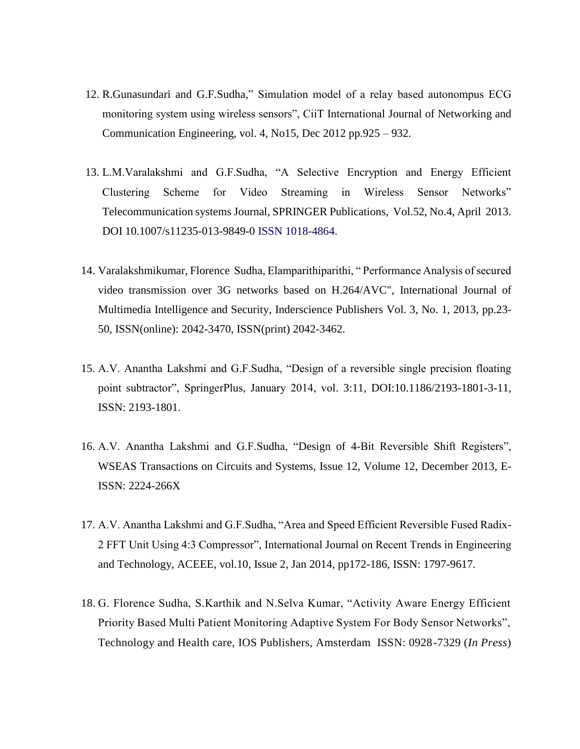- 12. R.Gunasundari and G.F.Sudha," Simulation model of a relay based autonompus ECG monitoring system using wireless sensors", CiiT International Journal of Networking and Communication Engineering, vol. 4, No15, Dec 2012 pp.925 – 932.
- 13. L.M.Varalakshmi and G.F.Sudha, "A Selective Encryption and Energy Efficient Clustering Scheme for Video Streaming in Wireless Sensor Networks" Telecommunication systems Journal, SPRINGER Publications, Vol.52, No.4, April 2013. DOI 10.1007/s11235-013-9849-0 ISSN 1018-4864.
- 14. Varalakshmikumar, Florence Sudha, Elamparithiparithi, " Performance Analysis of secured video transmission over 3G networks based on H.264/AVC", International Journal of Multimedia Intelligence and Security, Inderscience Publishers Vol. 3, No. 1, 2013, pp.23- 50, ISSN(online): 2042-3470, ISSN(print) 2042-3462.
- 15. A.V. Anantha Lakshmi and G.F.Sudha, "Design of a reversible single precision floating point subtractor", SpringerPlus, January 2014, vol. 3:11, DOI:10.1186/2193-1801-3-11, ISSN: 2193-1801.
- 16. A.V. Anantha Lakshmi and G.F.Sudha, "Design of 4-Bit Reversible Shift Registers", WSEAS Transactions on Circuits and Systems, Issue 12, Volume 12, December 2013, E-ISSN: 2224-266X
- 17. A.V. Anantha Lakshmi and G.F.Sudha, "Area and Speed Efficient Reversible Fused Radix-2 FFT Unit Using 4:3 Compressor", International Journal on Recent Trends in Engineering and Technology, ACEEE, vol.10, Issue 2, Jan 2014, pp172-186, ISSN: 1797-9617.
- 18. G. Florence Sudha, S.Karthik and N.Selva Kumar, "Activity Aware Energy Efficient Priority Based Multi Patient Monitoring Adaptive System For Body Sensor Networks", Technology and Health care, IOS Publishers, Amsterdam ISSN: 0928-7329 (*In Press*)